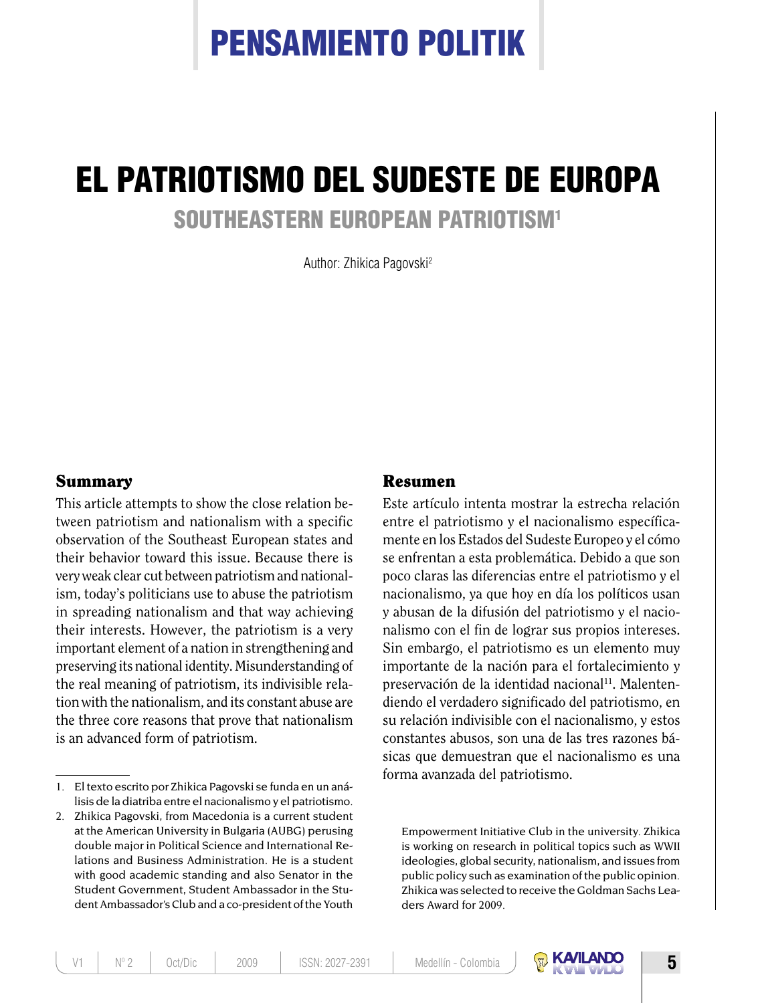# PENSAMIENTO POLITIK

## EL PATRIOTISMO DEL SUDESTE DE EUROPA SOUTHEASTERN EUROPEAN PATRIOTISM1

Author: Zhikica Pagovski2

### Summary

This article attempts to show the close relation between patriotism and nationalism with a specific observation of the Southeast European states and their behavior toward this issue. Because there is very weak clear cut between patriotism and nationalism, today's politicians use to abuse the patriotism in spreading nationalism and that way achieving their interests. However, the patriotism is a very important element of a nation in strengthening and preserving its national identity. Misunderstanding of the real meaning of patriotism, its indivisible relation with the nationalism, and its constant abuse are the three core reasons that prove that nationalism is an advanced form of patriotism.

### Resumen

Este artículo intenta mostrar la estrecha relación entre el patriotismo y el nacionalismo específicamente en los Estados del Sudeste Europeo y el cómo se enfrentan a esta problemática. Debido a que son poco claras las diferencias entre el patriotismo y el nacionalismo, ya que hoy en día los políticos usan y abusan de la difusión del patriotismo y el nacionalismo con el fin de lograr sus propios intereses. Sin embargo, el patriotismo es un elemento muy importante de la nación para el fortalecimiento y preservación de la identidad nacional<sup>11</sup>. Malentendiendo el verdadero significado del patriotismo, en su relación indivisible con el nacionalismo, y estos constantes abusos, son una de las tres razones básicas que demuestran que el nacionalismo es una forma avanzada del patriotismo.

Empowerment Initiative Club in the university. Zhikica is working on research in political topics such as WWII ideologies, global security, nationalism, and issues from public policy such as examination of the public opinion. Zhikica was selected to receive the Goldman Sachs Leaders Award for 2009.



<sup>1.</sup> El texto escrito por Zhikica Pagovski se funda en un análisis de la diatriba entre el nacionalismo y el patriotismo.

<sup>2.</sup> Zhikica Pagovski, from Macedonia is a current student at the American University in Bulgaria (AUBG) perusing double major in Political Science and International Relations and Business Administration. He is a student with good academic standing and also Senator in the Student Government, Student Ambassador in the Student Ambassador's Club and a co-president of the Youth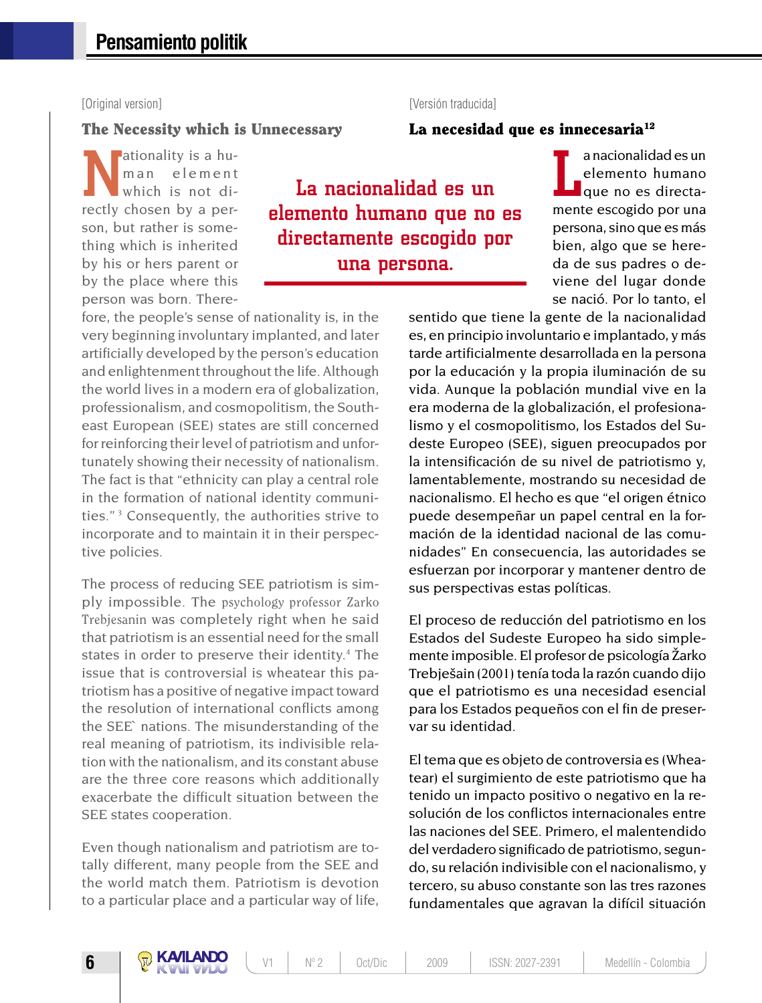### [Original version] [Versión traducida]

### The Necessity which is Unnecessary

ationality is a hum an element which is not directly chosen by a person, but rather is something which is inherited by his or hers parent or by the place where this person was born. There-

La nacionalidad es un elemento humano que no es directamente escogido por una persona.

a nacionalidad es un<br>elemento humano<br>que no es directa-<br>mente escogido por una a nacionalidad es un elemento humano que no es directapersona, sino que es más bien, algo que se hereda de sus padres o deviene del lugar donde se nació. Por lo tanto, el

fore, the people's sense of nationality is, in the very beginning involuntary implanted, and later artificially developed by the person's education and enlightenment throughout the life. Although the world lives in a modern era of globalization, professionalism, and cosmopolitism, the Southeast European (SEE) states are still concerned for reinforcing their level of patriotism and unfortunately showing their necessity of nationalism. The fact is that "ethnicity can play a central role in the formation of national identity communities." 3 Consequently, the authorities strive to incorporate and to maintain it in their perspective policies.

The process of reducing SEE patriotism is simply impossible. The psychology professor Zarko Trebjesanin was completely right when he said that patriotism is an essential need for the small states in order to preserve their identity.<sup>4</sup> The issue that is controversial is wheatear this patriotism has a positive of negative impact toward the resolution of international conflicts among the SEE` nations. The misunderstanding of the real meaning of patriotism, its indivisible relation with the nationalism, and its constant abuse are the three core reasons which additionally exacerbate the difficult situation between the SEE states cooperation.

Even though nationalism and patriotism are totally different, many people from the SEE and the world match them. Patriotism is devotion to a particular place and a particular way of life, sentido que tiene la gente de la nacionalidad es, en principio involuntario e implantado, y más tarde artificialmente desarrollada en la persona por la educación y la propia iluminación de su vida. Aunque la población mundial vive en la era moderna de la globalización, el profesionalismo y el cosmopolitismo, los Estados del Sudeste Europeo (SEE), siguen preocupados por la intensificación de su nivel de patriotismo y, lamentablemente, mostrando su necesidad de nacionalismo. El hecho es que "el origen étnico puede desempeñar un papel central en la formación de la identidad nacional de las comunidades" En consecuencia, las autoridades se esfuerzan por incorporar y mantener dentro de sus perspectivas estas políticas.

La necesidad que es innecesaria $12$ 

El proceso de reducción del patriotismo en los Estados del Sudeste Europeo ha sido simplemente imposible. El profesor de psicología Žarko Trebješain(2001) tenía toda la razón cuando dijo que el patriotismo es una necesidad esencial para los Estados pequeños con el fin de preservar su identidad.

El tema que es objeto de controversia es (Wheatear) el surgimiento de este patriotismo que ha tenido un impacto positivo o negativo en la resolución de los conflictos internacionales entre las naciones del SEE. Primero, el malentendido del verdadero significado de patriotismo, segundo, su relación indivisible con el nacionalismo, y tercero, su abuso constante son las tres razones fundamentales que agravan la difícil situación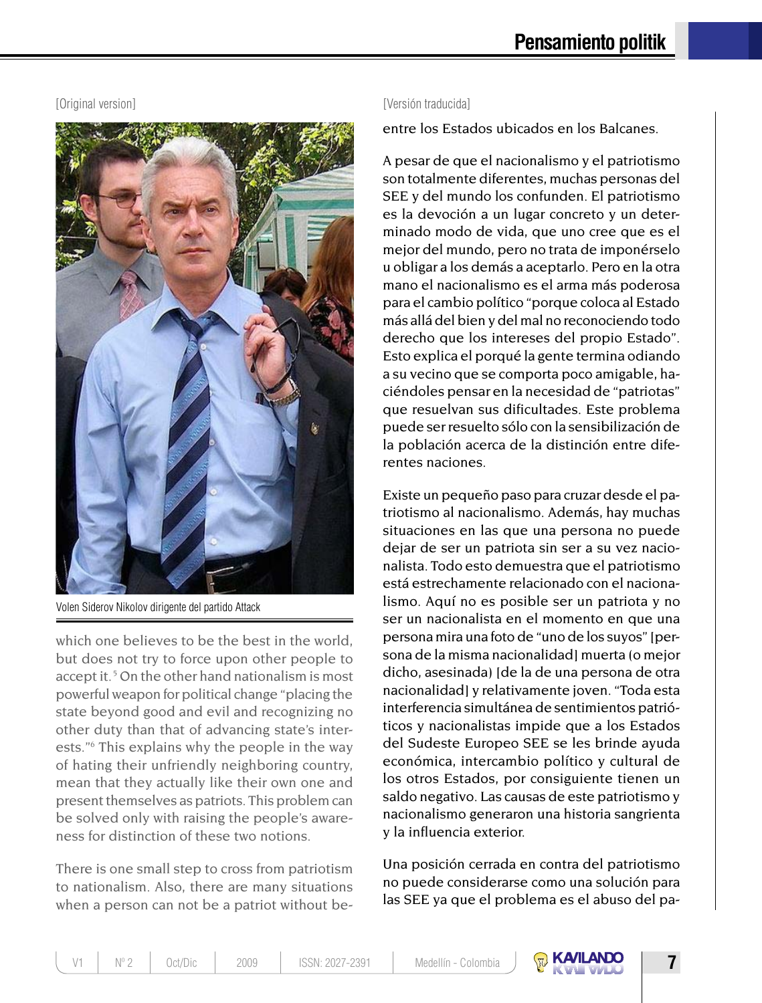### [Original version] [Versión traducida]



Volen Siderov Nikolov dirigente del partido Attack

which one believes to be the best in the world, but does not try to force upon other people to accept it.<sup>5</sup> On the other hand nationalism is most powerful weapon for political change "placing the state beyond good and evil and recognizing no other duty than that of advancing state's interests."6 This explains why the people in the way of hating their unfriendly neighboring country, mean that they actually like their own one and present themselves as patriots. This problem can be solved only with raising the people's awareness for distinction of these two notions.

There is one small step to cross from patriotism to nationalism. Also, there are many situations when a person can not be a patriot without be-

entre los Estados ubicados en los Balcanes.

A pesar de que el nacionalismo y el patriotismo son totalmente diferentes, muchas personas del SEE y del mundo los confunden. El patriotismo es la devoción a un lugar concreto y un determinado modo de vida, que uno cree que es el mejor del mundo, pero no trata de imponérselo u obligar a los demás a aceptarlo. Pero en la otra mano el nacionalismo es el arma más poderosa para el cambio político "porque coloca al Estado más allá del bien y del mal no reconociendo todo derecho que los intereses del propio Estado". Esto explica el porqué la gente termina odiando a su vecino que se comporta poco amigable, haciéndoles pensar en la necesidad de "patriotas" que resuelvan sus dificultades. Este problema puede ser resuelto sólo con la sensibilización de la población acerca de la distinción entre diferentes naciones.

Existe un pequeño paso para cruzar desde el patriotismo al nacionalismo. Además, hay muchas situaciones en las que una persona no puede dejar de ser un patriota sin ser a su vez nacionalista. Todo esto demuestra que el patriotismo está estrechamente relacionado con el nacionalismo. Aquí no es posible ser un patriota y no ser un nacionalista en el momento en que una persona mira una foto de "uno de los suyos" [persona de la misma nacionalidad] muerta (o mejor dicho, asesinada) [de la de una persona de otra nacionalidad] y relativamente joven. "Toda esta interferencia simultánea de sentimientos patrióticos y nacionalistas impide que a los Estados del Sudeste Europeo SEE se les brinde ayuda económica, intercambio político y cultural de los otros Estados, por consiguiente tienen un saldo negativo. Las causas de este patriotismo y nacionalismo generaron una historia sangrienta y la influencia exterior.

Una posición cerrada en contra del patriotismo no puede considerarse como una solución para las SEE ya que el problema es el abuso del pa-



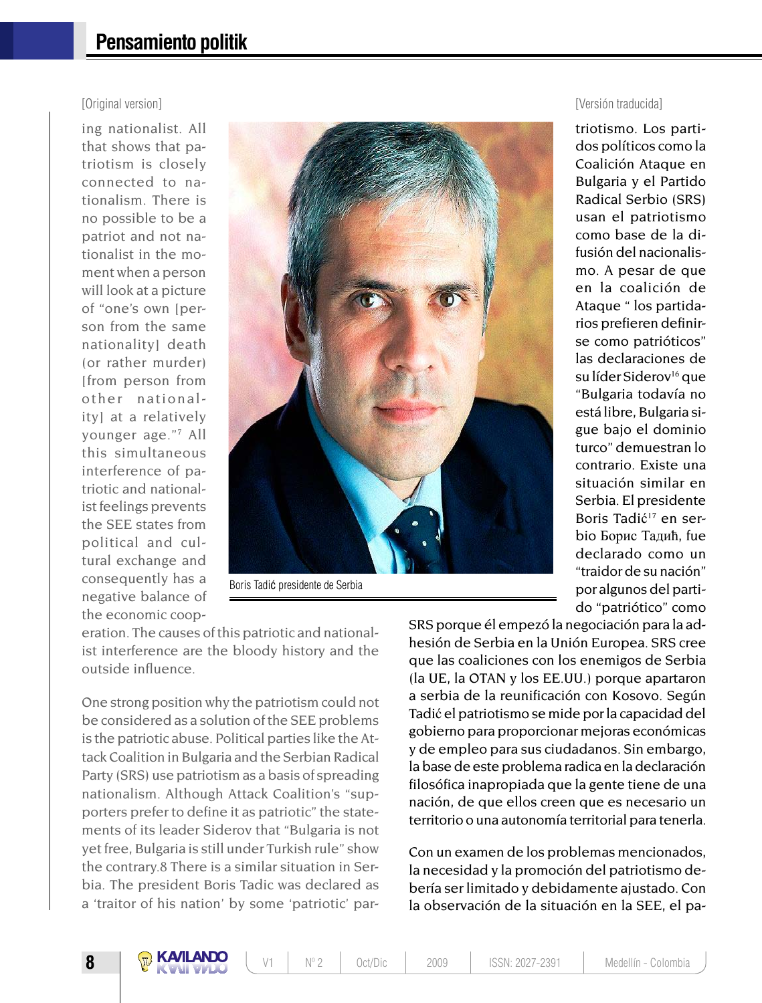ing nationalist. All that shows that patriotism is closely connected to nationalism. There is no possible to be a patriot and not nationalist in the moment when a person will look at a picture of "one's own [person from the same nationality] death (or rather murder) [from person from other nationality] at a relatively younger age."7 All this simultaneous interference of patriotic and nationalist feelings prevents the SEE states from political and cultural exchange and consequently has a negative balance of the economic coop-



Boris Tadić presidente de Serbia

eration. The causes of this patriotic and nationalist interference are the bloody history and the outside influence.

One strong position why the patriotism could not be considered as a solution of the SEE problems is the patriotic abuse. Political parties like the Attack Coalition in Bulgaria and the Serbian Radical Party (SRS) use patriotism as a basis of spreading nationalism. Although Attack Coalition's "supporters prefer to define it as patriotic" the statements of its leader Siderov that "Bulgaria is not yet free, Bulgaria is still under Turkish rule" show the contrary.8 There is a similar situation in Serbia. The president Boris Tadic was declared as a 'traitor of his nation' by some 'patriotic' par-

[Original version] [Versión traducida]

triotismo. Los partidos políticos como la Coalición Ataque en Bulgaria y el Partido Radical Serbio (SRS) usan el patriotismo como base de la difusión del nacionalismo. A pesar de que en la coalición de Ataque " los partidarios prefieren definirse como patrióticos" las declaraciones de su líder Siderov<sup>16</sup> que "Bulgaria todavía no está libre, Bulgaria sigue bajo el dominio turco" demuestran lo contrario. Existe una situación similar en Serbia. El presidente Boris Tadić<sup>17</sup> en serbio Борис Тадић, fue declarado como un "traidor de su nación" por algunos del partido "patriótico" como

SRS porque él empezó la negociación para la adhesión de Serbia en la Unión Europea. SRS cree que las coaliciones con los enemigos de Serbia (la UE, la OTAN y los EE.UU.) porque apartaron a serbia de la reunificación con Kosovo. Según Tadić el patriotismo se mide por la capacidad del gobierno para proporcionar mejoras económicas y de empleo para sus ciudadanos. Sin embargo, la base de este problema radica en la declaración filosófica inapropiada que la gente tiene de una nación, de que ellos creen que es necesario un territorio o una autonomía territorial para tenerla.

Con un examen de los problemas mencionados, la necesidad y la promoción del patriotismo debería ser limitado y debidamente ajustado. Con la observación de la situación en la SEE, el pa-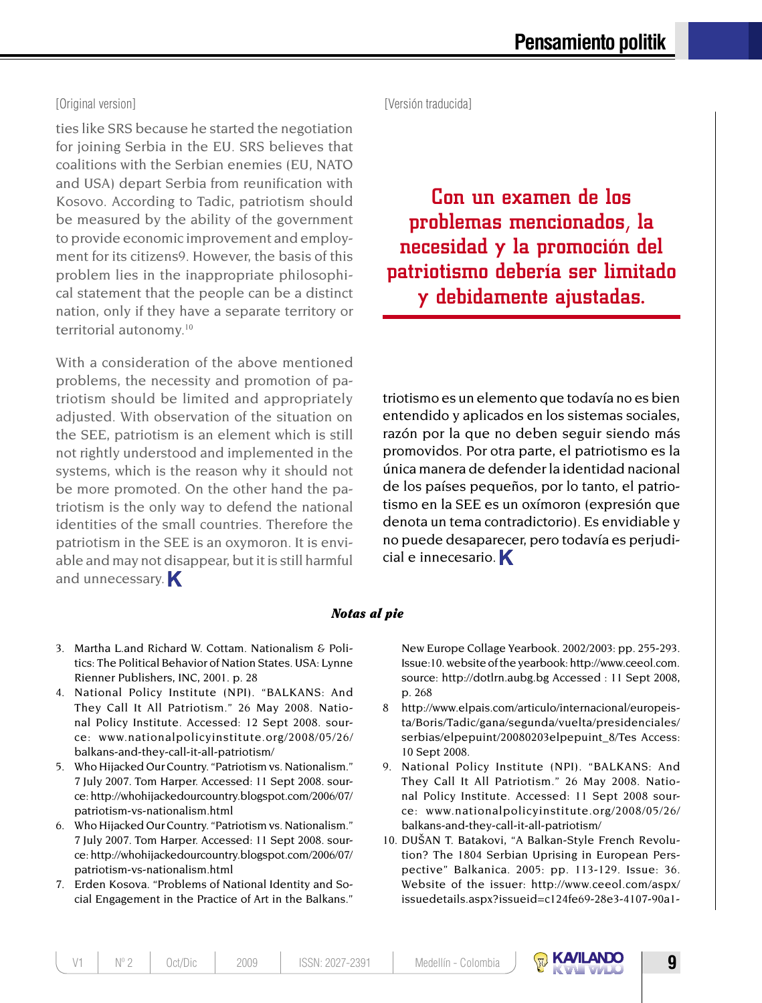ties like SRS because he started the negotiation for joining Serbia in the EU. SRS believes that coalitions with the Serbian enemies (EU, NATO and USA) depart Serbia from reunification with Kosovo. According to Tadic, patriotism should be measured by the ability of the government to provide economic improvement and employment for its citizens9. However, the basis of this problem lies in the inappropriate philosophical statement that the people can be a distinct nation, only if they have a separate territory or territorial autonomy.<sup>10</sup>

With a consideration of the above mentioned problems, the necessity and promotion of patriotism should be limited and appropriately adjusted. With observation of the situation on the SEE, patriotism is an element which is still not rightly understood and implemented in the systems, which is the reason why it should not be more promoted. On the other hand the patriotism is the only way to defend the national identities of the small countries. Therefore the patriotism in the SEE is an oxymoron. It is enviable and may not disappear, but it is still harmful and unnecessary.

[Original version] [Versión traducida]

Con un examen de los problemas mencionados, la necesidad y la promoción del patriotismo debería ser limitado y debidamente ajustadas.

triotismo es un elemento que todavía no es bien entendido y aplicados en los sistemas sociales, razón por la que no deben seguir siendo más promovidos. Por otra parte, el patriotismo es la única manera de defender la identidad nacional de los países pequeños, por lo tanto, el patriotismo en la SEE es un oxímoron (expresión que denota un tema contradictorio). Es envidiable y no puede desaparecer, pero todavía es perjudicial e innecesario.

### *Notas al pie*

- 3. Martha L.and Richard W. Cottam. Nationalism & Politics: The Political Behavior of Nation States. USA: Lynne Rienner Publishers, INC, 2001. p. 28
- 4. National Policy Institute (NPI). "BALKANS: And They Call It All Patriotism." 26 May 2008. National Policy Institute. Accessed: 12 Sept 2008. source: www.nationalpolicyinstitute.org/2008/05/26/ balkans-and-they-call-it-all-patriotism/
- 5. Who Hijacked Our Country. "Patriotism vs. Nationalism." 7 July 2007. Tom Harper. Accessed: 11 Sept 2008. source: http://whohijackedourcountry.blogspot.com/2006/07/ patriotism-vs-nationalism.html
- 6. Who Hijacked Our Country. "Patriotism vs. Nationalism." 7 July 2007. Tom Harper. Accessed: 11 Sept 2008. source: http://whohijackedourcountry.blogspot.com/2006/07/ patriotism-vs-nationalism.html
- 7. Erden Kosova. "Problems of National Identity and Social Engagement in the Practice of Art in the Balkans."

New Europe Collage Yearbook. 2002/2003: pp. 255-293. Issue:10. website of the yearbook: http://www.ceeol.com. source: http://dotlrn.aubg.bg Accessed : 11 Sept 2008, p. 268

- 8 http://www.elpais.com/articulo/internacional/europeista/Boris/Tadic/gana/segunda/vuelta/presidenciales/ serbias/elpepuint/20080203elpepuint\_8/Tes Access: 10 Sept 2008.
- 9. National Policy Institute (NPI). "BALKANS: And They Call It All Patriotism." 26 May 2008. National Policy Institute. Accessed: 11 Sept 2008 source: www.nationalpolicyinstitute.org/2008/05/26/ balkans-and-they-call-it-all-patriotism/
- 10. DUŠAN T. Batakovi, "A Balkan-Style French Revolution? The 1804 Serbian Uprising in European Perspective" Balkanica. 2005: pp. 113-129. Issue: 36. Website of the issuer: http://www.ceeol.com/aspx/ issuedetails.aspx?issueid=c124fe69-28e3-4107-90a1-